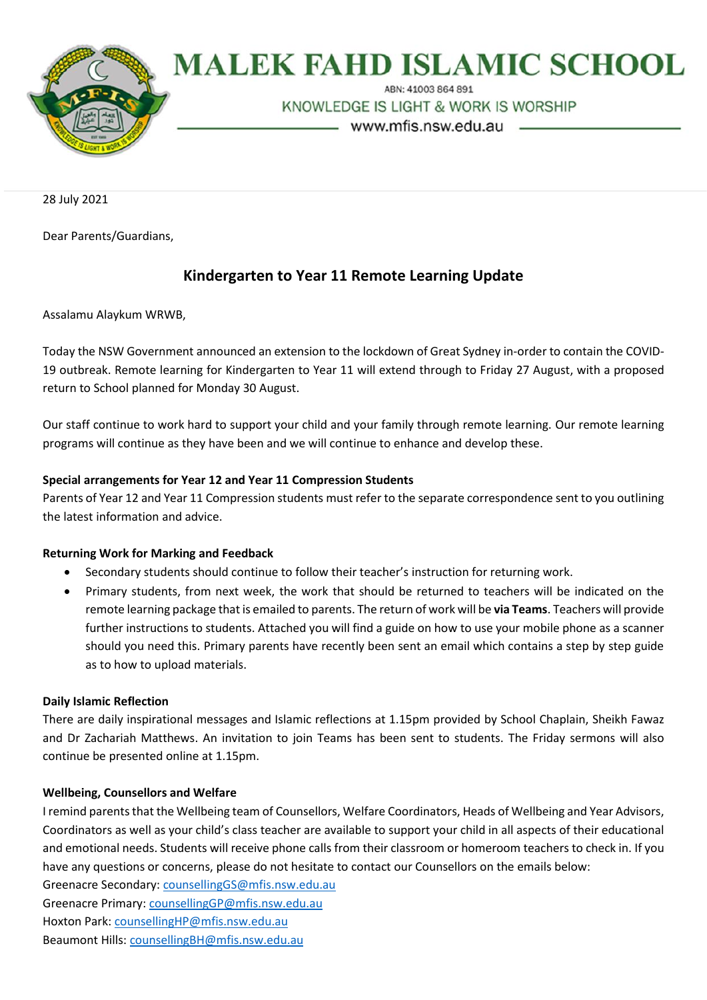

# **MALEK FAHD ISLAMIC SCHOOL**

ARN: 41003 864 891

KNOWLEDGE IS LIGHT & WORK IS WORSHIP

- www.mfis.nsw.edu.au -

28 July 2021

Dear Parents/Guardians,

# **Kindergarten to Year 11 Remote Learning Update**

Assalamu Alaykum WRWB,

Today the NSW Government announced an extension to the lockdown of Great Sydney in-order to contain the COVID-19 outbreak. Remote learning for Kindergarten to Year 11 will extend through to Friday 27 August, with a proposed return to School planned for Monday 30 August.

Our staff continue to work hard to support your child and your family through remote learning. Our remote learning programs will continue as they have been and we will continue to enhance and develop these.

### **Special arrangements for Year 12 and Year 11 Compression Students**

Parents of Year 12 and Year 11 Compression students must refer to the separate correspondence sent to you outlining the latest information and advice.

#### **Returning Work for Marking and Feedback**

- Secondary students should continue to follow their teacher's instruction for returning work.
- Primary students, from next week, the work that should be returned to teachers will be indicated on the remote learning package that is emailed to parents. The return of work will be **via Teams**. Teachers will provide further instructions to students. Attached you will find a guide on how to use your mobile phone as a scanner should you need this. Primary parents have recently been sent an email which contains a step by step guide as to how to upload materials.

#### **Daily Islamic Reflection**

There are daily inspirational messages and Islamic reflections at 1.15pm provided by School Chaplain, Sheikh Fawaz and Dr Zachariah Matthews. An invitation to join Teams has been sent to students. The Friday sermons will also continue be presented online at 1.15pm.

# **Wellbeing, Counsellors and Welfare**

I remind parents that the Wellbeing team of Counsellors, Welfare Coordinators, Heads of Wellbeing and Year Advisors, Coordinators as well as your child's class teacher are available to support your child in all aspects of their educational and emotional needs. Students will receive phone calls from their classroom or homeroom teachers to check in. If you have any questions or concerns, please do not hesitate to contact our Counsellors on the emails below:

Greenacre Secondary: [counsellingGS@mfis.nsw.edu.au](mailto:counsellingGS@mfis.nsw.edu.au) Greenacre Primary[: counsellingGP@mfis.nsw.edu.au](mailto:counsellingGP@mfis.nsw.edu.au) Hoxton Park[: counsellingHP@mfis.nsw.edu.au](mailto:counsellingHP@mfis.nsw.edu.au) Beaumont Hills: [counsellingBH@mfis.nsw.edu.au](mailto:counsellingBH@mfis.nsw.edu.au)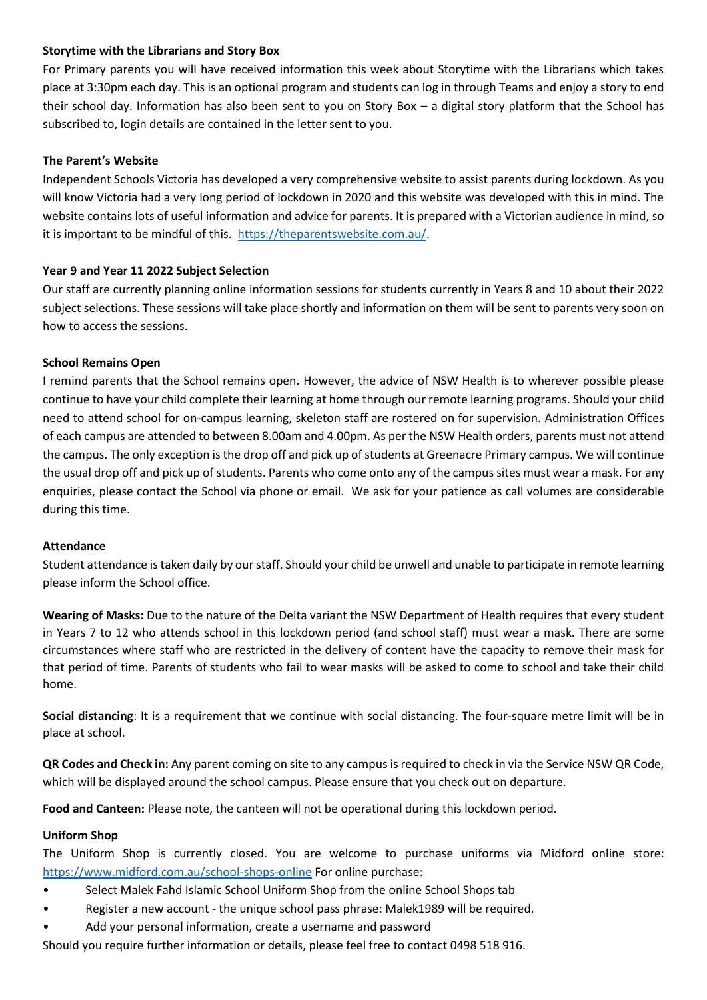### **Storytime with the Librarians and Story Box**

For Primary parents you will have received information this week about Storytime with the Librarians which takes place at 3:30pm each day. This is an optional program and students can log in through Teams and enjoy a story to end their school day. Information has also been sent to you on Story Box – a digital story platform that the School has subscribed to, login details are contained in the letter sent to you.

### **The Parent's Website**

Independent Schools Victoria has developed a very comprehensive website to assist parents during lockdown. As you will know Victoria had a very long period of lockdown in 2020 and this website was developed with this in mind. The website contains lots of useful information and advice for parents. It is prepared with a Victorian audience in mind, so it is important to be mindful of this. [https://theparentswebsite.com.au/.](https://theparentswebsite.com.au/)

### **Year 9 and Year 11 2022 Subject Selection**

Our staff are currently planning online information sessions for students currently in Years 8 and 10 about their 2022 subject selections. These sessions will take place shortly and information on them will be sent to parents very soon on how to access the sessions.

### **School Remains Open**

I remind parents that the School remains open. However, the advice of NSW Health is to wherever possible please continue to have your child complete their learning at home through our remote learning programs. Should your child need to attend school for on-campus learning, skeleton staff are rostered on for supervision. Administration Offices of each campus are attended to between 8.00am and 4.00pm. As per the NSW Health orders, parents must not attend the campus. The only exception is the drop off and pick up of students at Greenacre Primary campus. We will continue the usual drop off and pick up of students. Parents who come onto any of the campus sites must wear a mask. For any enquiries, please contact the School via phone or email. We ask for your patience as call volumes are considerable during this time.

#### **Attendance**

Student attendance is taken daily by our staff. Should your child be unwell and unable to participate in remote learning please inform the School office.

**Wearing of Masks:** Due to the nature of the Delta variant the NSW Department of Health requires that every student in Years 7 to 12 who attends school in this lockdown period (and school staff) must wear a mask. There are some circumstances where staff who are restricted in the delivery of content have the capacity to remove their mask for that period of time. Parents of students who fail to wear masks will be asked to come to school and take their child home.

**Social distancing**: It is a requirement that we continue with social distancing. The four-square metre limit will be in place at school.

**QR Codes and Check in:** Any parent coming on site to any campus is required to check in via the Service NSW QR Code, which will be displayed around the school campus. Please ensure that you check out on departure.

**Food and Canteen:** Please note, the canteen will not be operational during this lockdown period.

# **Uniform Shop**

The Uniform Shop is currently closed. You are welcome to purchase uniforms via Midford online store: <https://www.midford.com.au/school-shops-online> For online purchase:

- Select Malek Fahd Islamic School Uniform Shop from the online School Shops tab
- Register a new account the unique school pass phrase: Malek1989 will be required.
- Add your personal information, create a username and password

Should you require further information or details, please feel free to contact 0498 518 916.